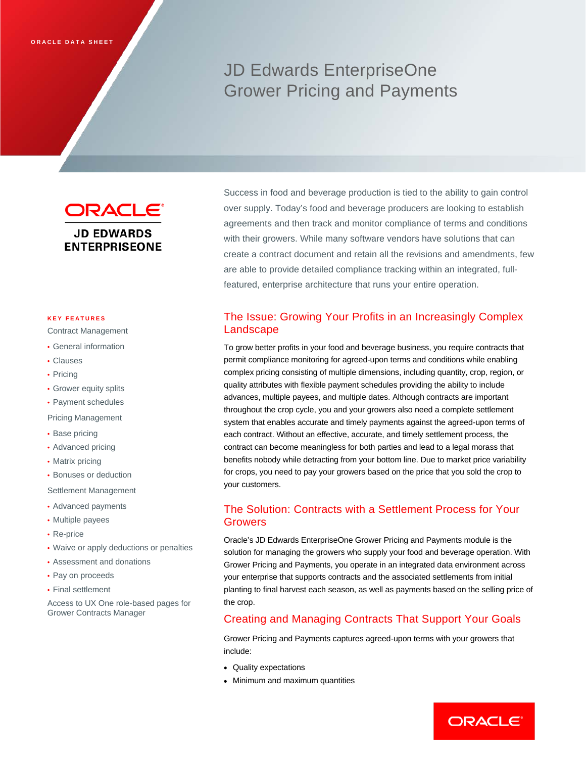# JD Edwards EnterpriseOne Grower Pricing and Payments

**ORACLE® JD EDWARDS ENTERPRISEONE** 

#### **KEY FEATURES**

- Contract Management
- General information
- Clauses
- Pricing
- Grower equity splits
- Payment schedules

Pricing Management

- Base pricing
- Advanced pricing
- Matrix pricing
- Bonuses or deduction

Settlement Management

- Advanced payments
- Multiple payees
- Re-price
- Waive or apply deductions or penalties
- Assessment and donations
- Pay on proceeds
- Final settlement

Access to UX One role-based pages for Grower Contracts Manager

Success in food and beverage production is tied to the ability to gain control over supply. Today's food and beverage producers are looking to establish agreements and then track and monitor compliance of terms and conditions with their growers. While many software vendors have solutions that can create a contract document and retain all the revisions and amendments, few are able to provide detailed compliance tracking within an integrated, fullfeatured, enterprise architecture that runs your entire operation.

# The Issue: Growing Your Profits in an Increasingly Complex Landscape

To grow better profits in your food and beverage business, you require contracts that permit compliance monitoring for agreed-upon terms and conditions while enabling complex pricing consisting of multiple dimensions, including quantity, crop, region, or quality attributes with flexible payment schedules providing the ability to include advances, multiple payees, and multiple dates. Although contracts are important throughout the crop cycle, you and your growers also need a complete settlement system that enables accurate and timely payments against the agreed-upon terms of each contract. Without an effective, accurate, and timely settlement process, the contract can become meaningless for both parties and lead to a legal morass that benefits nobody while detracting from your bottom line. Due to market price variability for crops, you need to pay your growers based on the price that you sold the crop to your customers.

# The Solution: Contracts with a Settlement Process for Your Growers

Oracle's JD Edwards EnterpriseOne Grower Pricing and Payments module is the solution for managing the growers who supply your food and beverage operation. With Grower Pricing and Payments, you operate in an integrated data environment across your enterprise that supports contracts and the associated settlements from initial planting to final harvest each season, as well as payments based on the selling price of the crop.

# Creating and Managing Contracts That Support Your Goals

Grower Pricing and Payments captures agreed-upon terms with your growers that include:

- Quality expectations
- Minimum and maximum quantities

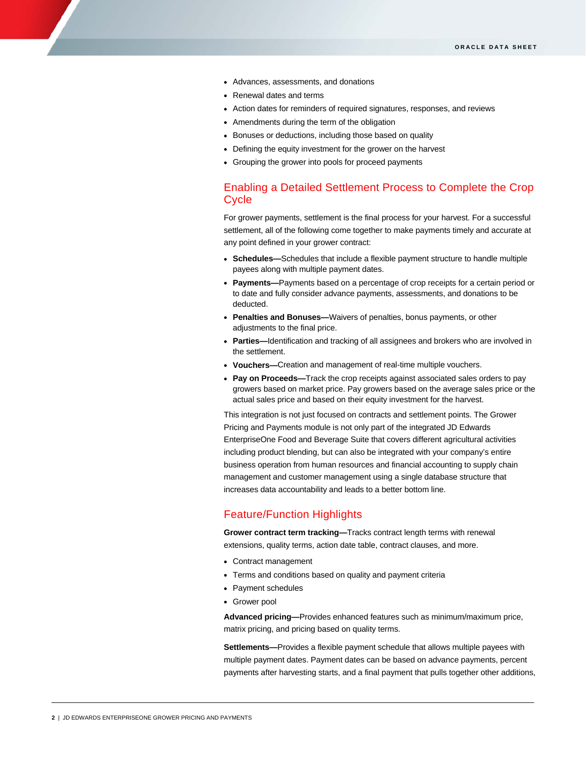- Advances, assessments, and donations
- Renewal dates and terms
- Action dates for reminders of required signatures, responses, and reviews
- Amendments during the term of the obligation
- Bonuses or deductions, including those based on quality
- Defining the equity investment for the grower on the harvest
- Grouping the grower into pools for proceed payments

# Enabling a Detailed Settlement Process to Complete the Crop **Cycle**

For grower payments, settlement is the final process for your harvest. For a successful settlement, all of the following come together to make payments timely and accurate at any point defined in your grower contract:

- **Schedules—**Schedules that include a flexible payment structure to handle multiple payees along with multiple payment dates.
- **Payments—**Payments based on a percentage of crop receipts for a certain period or to date and fully consider advance payments, assessments, and donations to be deducted.
- **Penalties and Bonuses—**Waivers of penalties, bonus payments, or other adjustments to the final price.
- **Parties—**Identification and tracking of all assignees and brokers who are involved in the settlement.
- **Vouchers—**Creation and management of real-time multiple vouchers.
- **Pay on Proceeds—**Track the crop receipts against associated sales orders to pay growers based on market price. Pay growers based on the average sales price or the actual sales price and based on their equity investment for the harvest.

This integration is not just focused on contracts and settlement points. The Grower Pricing and Payments module is not only part of the integrated JD Edwards EnterpriseOne Food and Beverage Suite that covers different agricultural activities including product blending, but can also be integrated with your company's entire business operation from human resources and financial accounting to supply chain management and customer management using a single database structure that increases data accountability and leads to a better bottom line.

### Feature/Function Highlights

**Grower contract term tracking—**Tracks contract length terms with renewal extensions, quality terms, action date table, contract clauses, and more.

- Contract management
- Terms and conditions based on quality and payment criteria
- Payment schedules
- Grower pool

**Advanced pricing—**Provides enhanced features such as minimum/maximum price, matrix pricing, and pricing based on quality terms.

**Settlements—**Provides a flexible payment schedule that allows multiple payees with multiple payment dates. Payment dates can be based on advance payments, percent payments after harvesting starts, and a final payment that pulls together other additions,

I